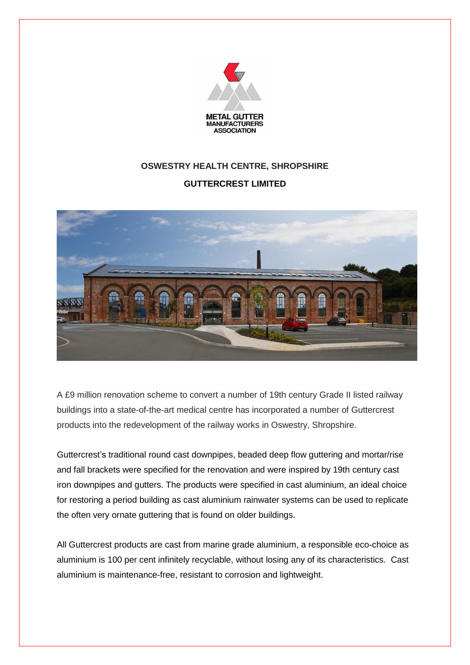

## **OSWESTRY HEALTH CENTRE, SHROPSHIRE**

## **GUTTERCREST LIMITED**



A £9 million renovation scheme to convert a number of 19th century Grade II listed railway buildings into a state-of-the-art medical centre has incorporated a number of Guttercrest products into the redevelopment of the railway works in Oswestry, Shropshire.

Guttercrest's traditional round cast downpipes, beaded deep flow guttering and mortar/rise and fall brackets were specified for the renovation and were inspired by 19th century cast iron downpipes and gutters. The products were specified in cast aluminium, an ideal choice for restoring a period building as cast aluminium rainwater systems can be used to replicate the often very ornate guttering that is found on older buildings.

All Guttercrest products are cast from marine grade aluminium, a responsible eco-choice as aluminium is 100 per cent infinitely recyclable, without losing any of its characteristics. Cast aluminium is maintenance-free, resistant to corrosion and lightweight.